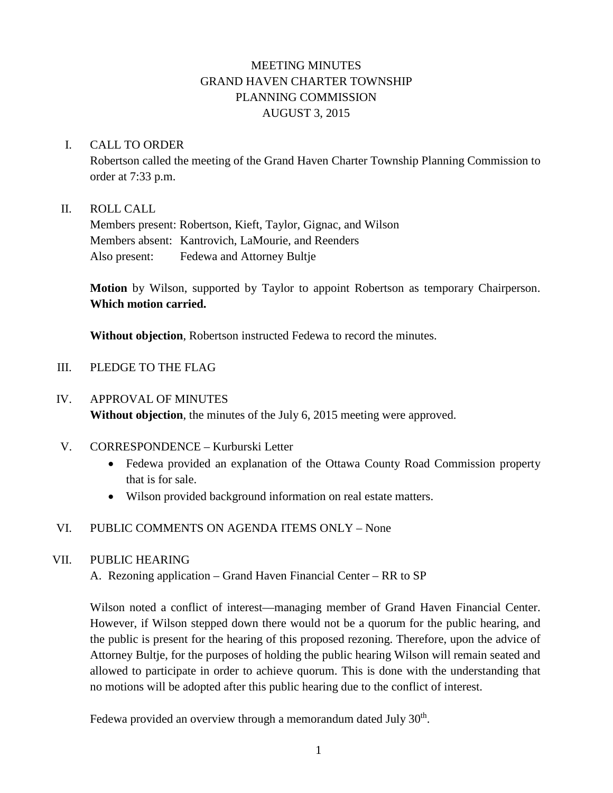# MEETING MINUTES GRAND HAVEN CHARTER TOWNSHIP PLANNING COMMISSION AUGUST 3, 2015

#### I. CALL TO ORDER

Robertson called the meeting of the Grand Haven Charter Township Planning Commission to order at 7:33 p.m.

### II. ROLL CALL

Members present: Robertson, Kieft, Taylor, Gignac, and Wilson Members absent: Kantrovich, LaMourie, and Reenders Also present: Fedewa and Attorney Bultje

**Motion** by Wilson, supported by Taylor to appoint Robertson as temporary Chairperson. **Which motion carried.**

**Without objection**, Robertson instructed Fedewa to record the minutes.

### III. PLEDGE TO THE FLAG

### IV. APPROVAL OF MINUTES

**Without objection**, the minutes of the July 6, 2015 meeting were approved.

- V. CORRESPONDENCE Kurburski Letter
	- Fedewa provided an explanation of the Ottawa County Road Commission property that is for sale.
	- Wilson provided background information on real estate matters.

## VI. PUBLIC COMMENTS ON AGENDA ITEMS ONLY – None

## VII. PUBLIC HEARING

A. Rezoning application – Grand Haven Financial Center – RR to SP

Wilson noted a conflict of interest—managing member of Grand Haven Financial Center. However, if Wilson stepped down there would not be a quorum for the public hearing, and the public is present for the hearing of this proposed rezoning. Therefore, upon the advice of Attorney Bultje, for the purposes of holding the public hearing Wilson will remain seated and allowed to participate in order to achieve quorum. This is done with the understanding that no motions will be adopted after this public hearing due to the conflict of interest.

Fedewa provided an overview through a memorandum dated July  $30<sup>th</sup>$ .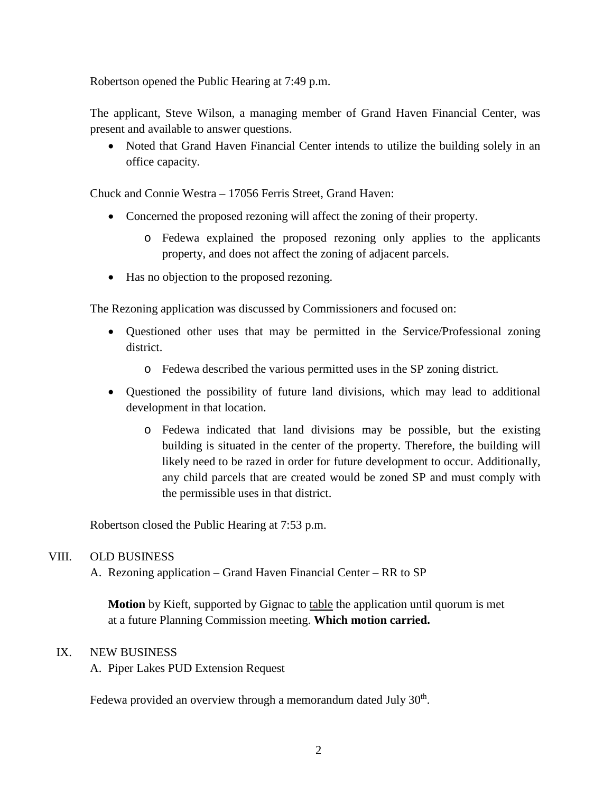Robertson opened the Public Hearing at 7:49 p.m.

The applicant, Steve Wilson, a managing member of Grand Haven Financial Center, was present and available to answer questions.

• Noted that Grand Haven Financial Center intends to utilize the building solely in an office capacity.

Chuck and Connie Westra – 17056 Ferris Street, Grand Haven:

- Concerned the proposed rezoning will affect the zoning of their property.
	- o Fedewa explained the proposed rezoning only applies to the applicants property, and does not affect the zoning of adjacent parcels.
- Has no objection to the proposed rezoning.

The Rezoning application was discussed by Commissioners and focused on:

- Questioned other uses that may be permitted in the Service/Professional zoning district.
	- o Fedewa described the various permitted uses in the SP zoning district.
- Questioned the possibility of future land divisions, which may lead to additional development in that location.
	- o Fedewa indicated that land divisions may be possible, but the existing building is situated in the center of the property. Therefore, the building will likely need to be razed in order for future development to occur. Additionally, any child parcels that are created would be zoned SP and must comply with the permissible uses in that district.

Robertson closed the Public Hearing at 7:53 p.m.

#### VIII. OLD BUSINESS

A. Rezoning application – Grand Haven Financial Center – RR to SP

**Motion** by Kieft, supported by Gignac to table the application until quorum is met at a future Planning Commission meeting. **Which motion carried.**

#### IX. NEW BUSINESS

A. Piper Lakes PUD Extension Request

Fedewa provided an overview through a memorandum dated July  $30<sup>th</sup>$ .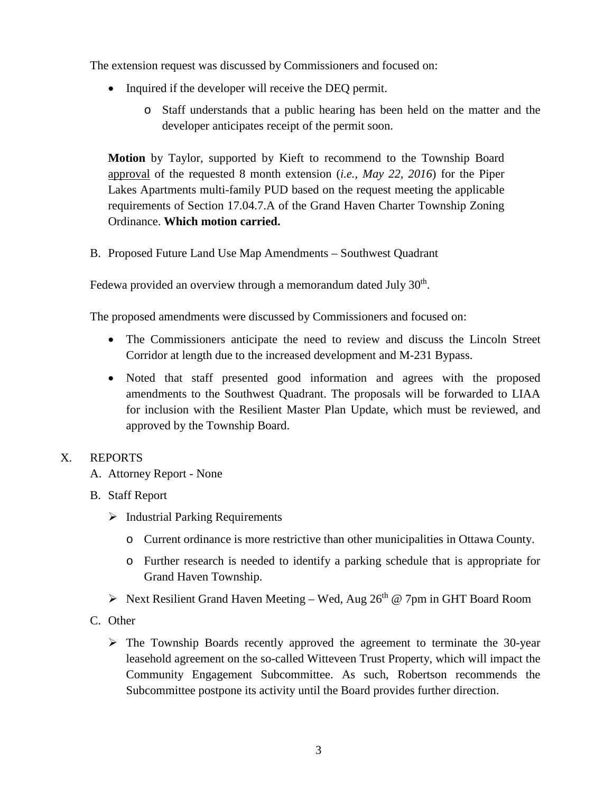The extension request was discussed by Commissioners and focused on:

- Inquired if the developer will receive the DEQ permit.
	- o Staff understands that a public hearing has been held on the matter and the developer anticipates receipt of the permit soon.

**Motion** by Taylor, supported by Kieft to recommend to the Township Board approval of the requested 8 month extension (*i.e., May 22, 2016*) for the Piper Lakes Apartments multi-family PUD based on the request meeting the applicable requirements of Section 17.04.7.A of the Grand Haven Charter Township Zoning Ordinance. **Which motion carried.**

B. Proposed Future Land Use Map Amendments – Southwest Quadrant

Fedewa provided an overview through a memorandum dated July  $30<sup>th</sup>$ .

The proposed amendments were discussed by Commissioners and focused on:

- The Commissioners anticipate the need to review and discuss the Lincoln Street Corridor at length due to the increased development and M-231 Bypass.
- Noted that staff presented good information and agrees with the proposed amendments to the Southwest Quadrant. The proposals will be forwarded to LIAA for inclusion with the Resilient Master Plan Update, which must be reviewed, and approved by the Township Board.

# X. REPORTS

- A. Attorney Report None
- B. Staff Report
	- $\triangleright$  Industrial Parking Requirements
		- o Current ordinance is more restrictive than other municipalities in Ottawa County.
		- o Further research is needed to identify a parking schedule that is appropriate for Grand Haven Township.
	- $\triangleright$  Next Resilient Grand Haven Meeting Wed, Aug 26<sup>th</sup> @ 7pm in GHT Board Room
- C. Other
	- $\triangleright$  The Township Boards recently approved the agreement to terminate the 30-year leasehold agreement on the so-called Witteveen Trust Property, which will impact the Community Engagement Subcommittee. As such, Robertson recommends the Subcommittee postpone its activity until the Board provides further direction.